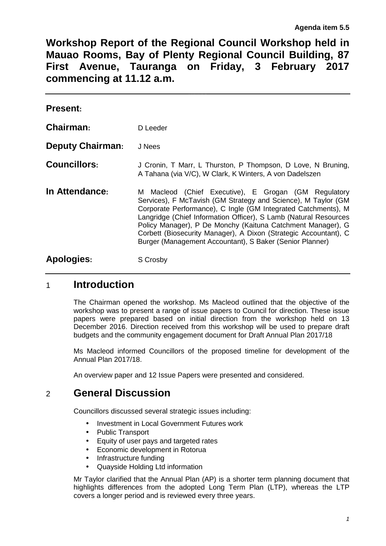**Workshop Report of the Regional Council Workshop held in Mauao Rooms, Bay of Plenty Regional Council Building, 87 First Avenue, Tauranga on Friday, 3 February 2017 commencing at 11.12 a.m.** 

| <b>Present:</b>         |                                                                                                                                                                                                                                                                                                                                                                                                                                                           |
|-------------------------|-----------------------------------------------------------------------------------------------------------------------------------------------------------------------------------------------------------------------------------------------------------------------------------------------------------------------------------------------------------------------------------------------------------------------------------------------------------|
| Chairman:               | D Leeder                                                                                                                                                                                                                                                                                                                                                                                                                                                  |
| <b>Deputy Chairman:</b> | J Nees                                                                                                                                                                                                                                                                                                                                                                                                                                                    |
| <b>Councillors:</b>     | J Cronin, T Marr, L Thurston, P Thompson, D Love, N Bruning,<br>A Tahana (via V/C), W Clark, K Winters, A von Dadelszen                                                                                                                                                                                                                                                                                                                                   |
| In Attendance:          | M Macleod (Chief Executive), E Grogan (GM Regulatory<br>Services), F McTavish (GM Strategy and Science), M Taylor (GM<br>Corporate Performance), C Ingle (GM Integrated Catchments), M<br>Langridge (Chief Information Officer), S Lamb (Natural Resources<br>Policy Manager), P De Monchy (Kaituna Catchment Manager), G<br>Corbett (Biosecurity Manager), A Dixon (Strategic Accountant), C<br>Burger (Management Accountant), S Baker (Senior Planner) |
| <b>Apologies:</b>       | S Crosby                                                                                                                                                                                                                                                                                                                                                                                                                                                  |

# 1 **Introduction**

The Chairman opened the workshop. Ms Macleod outlined that the objective of the workshop was to present a range of issue papers to Council for direction. These issue papers were prepared based on initial direction from the workshop held on 13 December 2016. Direction received from this workshop will be used to prepare draft budgets and the community engagement document for Draft Annual Plan 2017/18

Ms Macleod informed Councillors of the proposed timeline for development of the Annual Plan 2017/18.

An overview paper and 12 Issue Papers were presented and considered.

# 2 **General Discussion**

Councillors discussed several strategic issues including:

- Investment in Local Government Futures work
- Public Transport
- Equity of user pays and targeted rates
- Economic development in Rotorua
- Infrastructure funding
- Quayside Holding Ltd information

Mr Taylor clarified that the Annual Plan (AP) is a shorter term planning document that highlights differences from the adopted Long Term Plan (LTP), whereas the LTP covers a longer period and is reviewed every three years.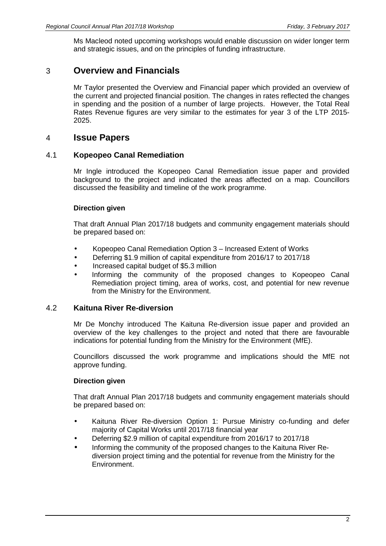Ms Macleod noted upcoming workshops would enable discussion on wider longer term and strategic issues, and on the principles of funding infrastructure.

## 3 **Overview and Financials**

Mr Taylor presented the Overview and Financial paper which provided an overview of the current and projected financial position. The changes in rates reflected the changes in spending and the position of a number of large projects. However, the Total Real Rates Revenue figures are very similar to the estimates for year 3 of the LTP 2015- 2025.

## 4 **Issue Papers**

#### 4.1 **Kopeopeo Canal Remediation**

Mr Ingle introduced the Kopeopeo Canal Remediation issue paper and provided background to the project and indicated the areas affected on a map. Councillors discussed the feasibility and timeline of the work programme.

#### **Direction given**

That draft Annual Plan 2017/18 budgets and community engagement materials should be prepared based on:

- Kopeopeo Canal Remediation Option 3 Increased Extent of Works
- Deferring \$1.9 million of capital expenditure from 2016/17 to 2017/18
- Increased capital budget of \$5.3 million
- Informing the community of the proposed changes to Kopeopeo Canal Remediation project timing, area of works, cost, and potential for new revenue from the Ministry for the Environment.

## 4.2 **Kaituna River Re-diversion**

Mr De Monchy introduced The Kaituna Re-diversion issue paper and provided an overview of the key challenges to the project and noted that there are favourable indications for potential funding from the Ministry for the Environment (MfE).

Councillors discussed the work programme and implications should the MfE not approve funding.

## **Direction given**

That draft Annual Plan 2017/18 budgets and community engagement materials should be prepared based on:

- Kaituna River Re-diversion Option 1: Pursue Ministry co-funding and defer majority of Capital Works until 2017/18 financial year
- Deferring \$2.9 million of capital expenditure from 2016/17 to 2017/18
- Informing the community of the proposed changes to the Kaituna River Rediversion project timing and the potential for revenue from the Ministry for the Environment.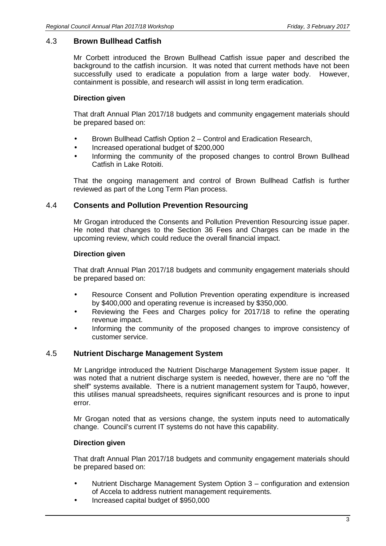#### 4.3 **Brown Bullhead Catfish**

Mr Corbett introduced the Brown Bullhead Catfish issue paper and described the background to the catfish incursion. It was noted that current methods have not been successfully used to eradicate a population from a large water body. However, containment is possible, and research will assist in long term eradication.

#### **Direction given**

That draft Annual Plan 2017/18 budgets and community engagement materials should be prepared based on:

- Brown Bullhead Catfish Option 2 Control and Eradication Research,
- Increased operational budget of \$200,000
- Informing the community of the proposed changes to control Brown Bullhead Catfish in Lake Rotoiti.

That the ongoing management and control of Brown Bullhead Catfish is further reviewed as part of the Long Term Plan process.

#### 4.4 **Consents and Pollution Prevention Resourcing**

Mr Grogan introduced the Consents and Pollution Prevention Resourcing issue paper. He noted that changes to the Section 36 Fees and Charges can be made in the upcoming review, which could reduce the overall financial impact.

#### **Direction given**

That draft Annual Plan 2017/18 budgets and community engagement materials should be prepared based on:

- Resource Consent and Pollution Prevention operating expenditure is increased by \$400,000 and operating revenue is increased by \$350,000.
- Reviewing the Fees and Charges policy for 2017/18 to refine the operating revenue impact.
- Informing the community of the proposed changes to improve consistency of customer service.

#### 4.5 **Nutrient Discharge Management System**

Mr Langridge introduced the Nutrient Discharge Management System issue paper. It was noted that a nutrient discharge system is needed, however, there are no "off the shelf" systems available. There is a nutrient management system for Taupō, however, this utilises manual spreadsheets, requires significant resources and is prone to input error.

Mr Grogan noted that as versions change, the system inputs need to automatically change. Council's current IT systems do not have this capability.

#### **Direction given**

That draft Annual Plan 2017/18 budgets and community engagement materials should be prepared based on:

- Nutrient Discharge Management System Option 3 configuration and extension of Accela to address nutrient management requirements.
- Increased capital budget of \$950,000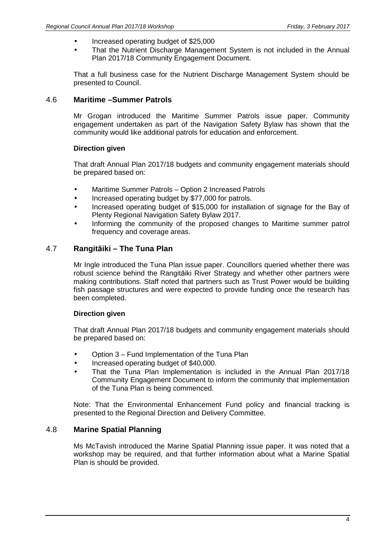- Increased operating budget of \$25,000
- That the Nutrient Discharge Management System is not included in the Annual Plan 2017/18 Community Engagement Document.

That a full business case for the Nutrient Discharge Management System should be presented to Council.

### 4.6 **Maritime –Summer Patrols**

Mr Grogan introduced the Maritime Summer Patrols issue paper. Community engagement undertaken as part of the Navigation Safety Bylaw has shown that the community would like additional patrols for education and enforcement.

#### **Direction given**

That draft Annual Plan 2017/18 budgets and community engagement materials should be prepared based on:

- Maritime Summer Patrols Option 2 Increased Patrols
- Increased operating budget by \$77,000 for patrols.
- Increased operating budget of \$15,000 for installation of signage for the Bay of Plenty Regional Navigation Safety Bylaw 2017.
- Informing the community of the proposed changes to Maritime summer patrol frequency and coverage areas.

#### 4.7 **Rangitāiki – The Tuna Plan**

Mr Ingle introduced the Tuna Plan issue paper. Councillors queried whether there was robust science behind the Rangitāiki River Strategy and whether other partners were making contributions. Staff noted that partners such as Trust Power would be building fish passage structures and were expected to provide funding once the research has been completed.

#### **Direction given**

That draft Annual Plan 2017/18 budgets and community engagement materials should be prepared based on:

- Option 3 Fund Implementation of the Tuna Plan
- Increased operating budget of \$40,000.
- That the Tuna Plan Implementation is included in the Annual Plan 2017/18 Community Engagement Document to inform the community that implementation of the Tuna Plan is being commenced.

Note: That the Environmental Enhancement Fund policy and financial tracking is presented to the Regional Direction and Delivery Committee.

#### 4.8 **Marine Spatial Planning**

Ms McTavish introduced the Marine Spatial Planning issue paper. It was noted that a workshop may be required, and that further information about what a Marine Spatial Plan is should be provided.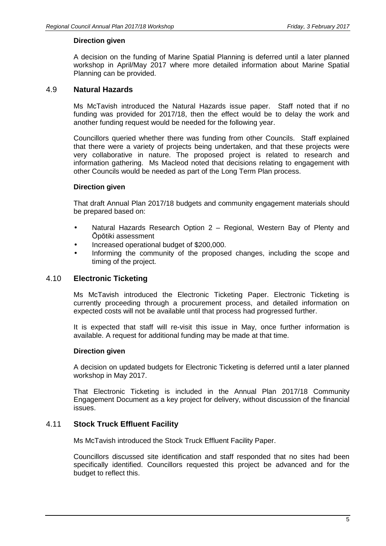#### **Direction given**

A decision on the funding of Marine Spatial Planning is deferred until a later planned workshop in April/May 2017 where more detailed information about Marine Spatial Planning can be provided.

#### 4.9 **Natural Hazards**

Ms McTavish introduced the Natural Hazards issue paper. Staff noted that if no funding was provided for 2017/18, then the effect would be to delay the work and another funding request would be needed for the following year.

Councillors queried whether there was funding from other Councils. Staff explained that there were a variety of projects being undertaken, and that these projects were very collaborative in nature. The proposed project is related to research and information gathering. Ms Macleod noted that decisions relating to engagement with other Councils would be needed as part of the Long Term Plan process.

#### **Direction given**

That draft Annual Plan 2017/18 budgets and community engagement materials should be prepared based on:

- Natural Hazards Research Option 2 Regional, Western Bay of Plenty and Ōpōtiki assessment
- Increased operational budget of \$200,000.
- Informing the community of the proposed changes, including the scope and timing of the project.

#### 4.10 **Electronic Ticketing**

Ms McTavish introduced the Electronic Ticketing Paper. Electronic Ticketing is currently proceeding through a procurement process, and detailed information on expected costs will not be available until that process had progressed further.

It is expected that staff will re-visit this issue in May, once further information is available. A request for additional funding may be made at that time.

#### **Direction given**

A decision on updated budgets for Electronic Ticketing is deferred until a later planned workshop in May 2017.

That Electronic Ticketing is included in the Annual Plan 2017/18 Community Engagement Document as a key project for delivery, without discussion of the financial issues.

#### 4.11 **Stock Truck Effluent Facility**

Ms McTavish introduced the Stock Truck Effluent Facility Paper.

Councillors discussed site identification and staff responded that no sites had been specifically identified. Councillors requested this project be advanced and for the budget to reflect this.